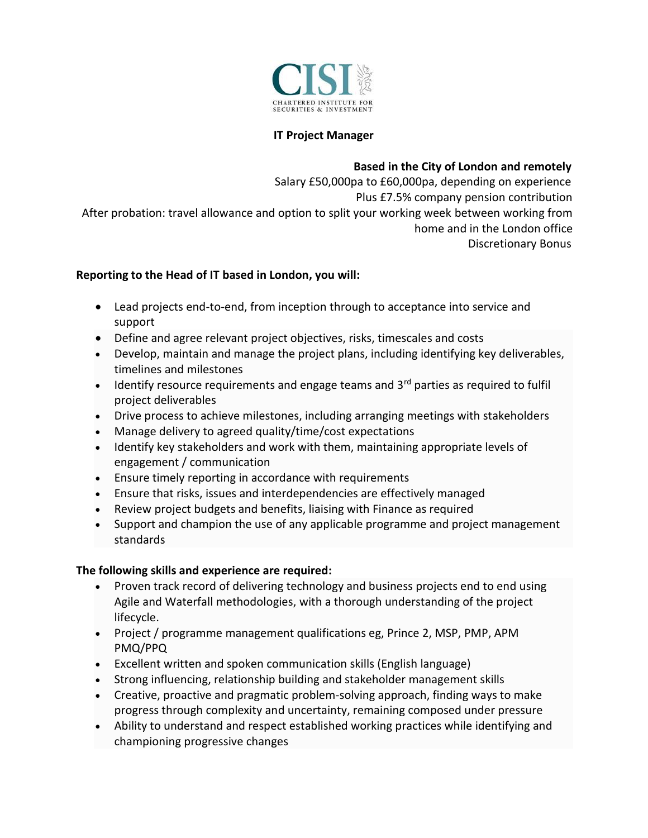

# **IT Project Manager**

**Based in the City of London and remotely** Salary £50,000pa to £60,000pa, depending on experience Plus £7.5% company pension contribution After probation: travel allowance and option to split your working week between working from home and in the London office Discretionary Bonus

# **Reporting to the Head of IT based in London, you will:**

- Lead projects end-to-end, from inception through to acceptance into service and support
- Define and agree relevant project objectives, risks, timescales and costs
- Develop, maintain and manage the project plans, including identifying key deliverables, timelines and milestones
- Identify resource requirements and engage teams and  $3<sup>rd</sup>$  parties as required to fulfil project deliverables
- Drive process to achieve milestones, including arranging meetings with stakeholders
- Manage delivery to agreed quality/time/cost expectations
- Identify key stakeholders and work with them, maintaining appropriate levels of engagement / communication
- Ensure timely reporting in accordance with requirements
- Ensure that risks, issues and interdependencies are effectively managed
- Review project budgets and benefits, liaising with Finance as required
- Support and champion the use of any applicable programme and project management standards

# **The following skills and experience are required:**

- Proven track record of delivering technology and business projects end to end using Agile and Waterfall methodologies, with a thorough understanding of the project lifecycle.
- Project / programme management qualifications eg, Prince 2, MSP, PMP, APM PMQ/PPQ
- Excellent written and spoken communication skills (English language)
- Strong influencing, relationship building and stakeholder management skills
- Creative, proactive and pragmatic problem-solving approach, finding ways to make progress through complexity and uncertainty, remaining composed under pressure
- Ability to understand and respect established working practices while identifying and championing progressive changes